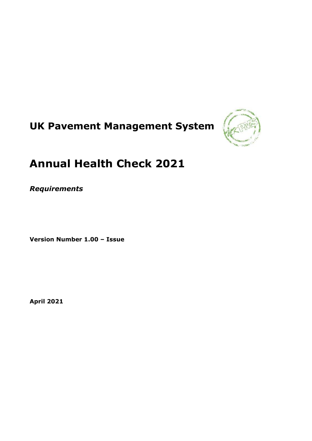# **UK Pavement Management System**



# **Annual Health Check 2021**

*Requirements*

**Version Number 1.00 – Issue**

**April 2021**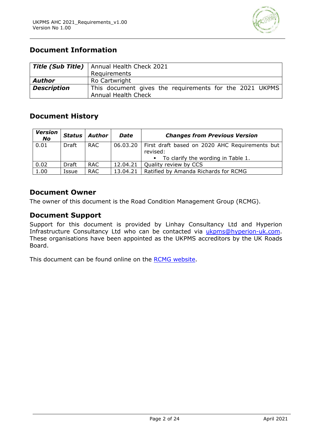

# **Document Information**

|                    | Title (Sub Title)   Annual Health Check 2021                                          |
|--------------------|---------------------------------------------------------------------------------------|
|                    | Requirements                                                                          |
| <b>Author</b>      | Ro Cartwright                                                                         |
| <b>Description</b> | This document gives the requirements for the 2021 UKPMS<br><b>Annual Health Check</b> |

# **Document History**

| <b>Version</b><br><b>No</b> | Status | Author     | <b>Date</b> | <b>Changes from Previous Version</b>                                  |
|-----------------------------|--------|------------|-------------|-----------------------------------------------------------------------|
| 0.01                        | Draft  | RAC.       |             | 06.03.20   First draft based on 2020 AHC Requirements but<br>revised: |
|                             |        |            |             | • To clarify the wording in Table 1.                                  |
| 0.02                        | Draft  | RAC.       | 12.04.21    | Quality review by CCS                                                 |
| 1.00                        | Issue  | <b>RAC</b> | 13.04.21    | Ratified by Amanda Richards for RCMG                                  |

## **Document Owner**

The owner of this document is the Road Condition Management Group (RCMG).

# **Document Support**

Support for this document is provided by Linhay Consultancy Ltd and Hyperion Infrastructure Consultancy Ltd who can be contacted via [ukpms@hyperion-uk.com.](mailto:ukpms@hyperion-uk.com) These organisations have been appointed as the UKPMS accreditors by the UK Roads Board.

This document can be found online on the [RCMG website.](https://ukrlg.ciht.org.uk/ukrlg-home/guidance/road-condition-information/data-management/uk-pavement-management-system-ukpms/)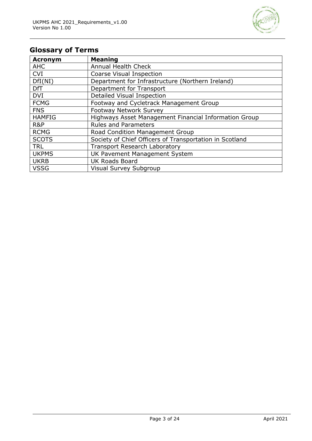

# **Glossary of Terms**

| <b>Acronym</b> | <b>Meaning</b>                                          |
|----------------|---------------------------------------------------------|
| <b>AHC</b>     | <b>Annual Health Check</b>                              |
| <b>CVI</b>     | Coarse Visual Inspection                                |
| DfI(NI)        | Department for Infrastructure (Northern Ireland)        |
| <b>DfT</b>     | Department for Transport                                |
| <b>DVI</b>     | Detailed Visual Inspection                              |
| <b>FCMG</b>    | Footway and Cycletrack Management Group                 |
| <b>FNS</b>     | <b>Footway Network Survey</b>                           |
| <b>HAMFIG</b>  | Highways Asset Management Financial Information Group   |
| R&P            | <b>Rules and Parameters</b>                             |
| <b>RCMG</b>    | Road Condition Management Group                         |
| <b>SCOTS</b>   | Society of Chief Officers of Transportation in Scotland |
| <b>TRL</b>     | <b>Transport Research Laboratory</b>                    |
| <b>UKPMS</b>   | UK Pavement Management System                           |
| <b>UKRB</b>    | <b>UK Roads Board</b>                                   |
| <b>VSSG</b>    | Visual Survey Subgroup                                  |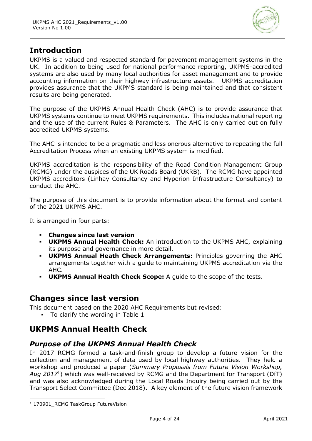

# **Introduction**

UKPMS is a valued and respected standard for pavement management systems in the UK. In addition to being used for national performance reporting, UKPMS-accredited systems are also used by many local authorities for asset management and to provide accounting information on their highway infrastructure assets. UKPMS accreditation provides assurance that the UKPMS standard is being maintained and that consistent results are being generated.

The purpose of the UKPMS Annual Health Check (AHC) is to provide assurance that UKPMS systems continue to meet UKPMS requirements. This includes national reporting and the use of the current Rules & Parameters. The AHC is only carried out on fully accredited UKPMS systems.

The AHC is intended to be a pragmatic and less onerous alternative to repeating the full Accreditation Process when an existing UKPMS system is modified.

UKPMS accreditation is the responsibility of the Road Condition Management Group (RCMG) under the auspices of the UK Roads Board (UKRB). The RCMG have appointed UKPMS accreditors (Linhay Consultancy and Hyperion Infrastructure Consultancy) to conduct the AHC.

The purpose of this document is to provide information about the format and content of the 2021 UKPMS AHC.

It is arranged in four parts:

- **Changes since last version**
- **UKPMS Annual Health Check:** An introduction to the UKPMS AHC, explaining its purpose and governance in more detail.
- **UKPMS Annual Heath Check Arrangements:** Principles governing the AHC arrangements together with a guide to maintaining UKPMS accreditation via the AHC.
- **UKPMS Annual Health Check Scope:** A guide to the scope of the tests.

# **Changes since last version**

This document based on the 2020 AHC Requirements but revised:

▪ To clarify the wording in Table 1

# **UKPMS Annual Health Check**

# *Purpose of the UKPMS Annual Health Check*

In 2017 RCMG formed a task-and-finish group to develop a future vision for the collection and management of data used by local highway authorities. They held a workshop and produced a paper (*Summary Proposals from Future Vision Workshop, Aug 2017*<sup>1</sup> ) which was well-received by RCMG and the Department for Transport (DfT) and was also acknowledged during the Local Roads Inquiry being carried out by the Transport Select Committee (Dec 2018). A key element of the future vision framework

<sup>&</sup>lt;sup>1</sup> 170901 RCMG TaskGroup FutureVision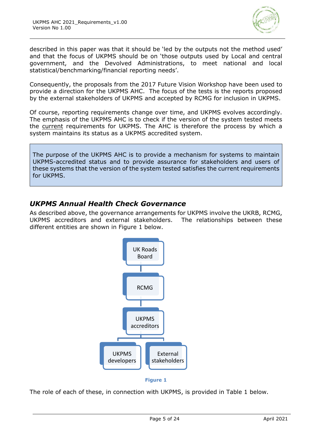

described in this paper was that it should be 'led by the outputs not the method used' and that the focus of UKPMS should be on 'those outputs used by Local and central government, and the Devolved Administrations, to meet national and local statistical/benchmarking/financial reporting needs'.

Consequently, the proposals from the 2017 Future Vision Workshop have been used to provide a direction for the UKPMS AHC. The focus of the tests is the reports proposed by the external stakeholders of UKPMS and accepted by RCMG for inclusion in UKPMS.

Of course, reporting requirements change over time, and UKPMS evolves accordingly. The emphasis of the UKPMS AHC is to check if the version of the system tested meets the current requirements for UKPMS. The AHC is therefore the process by which a system maintains its status as a UKPMS accredited system.

The purpose of the UKPMS AHC is to provide a mechanism for systems to maintain UKPMS-accredited status and to provide assurance for stakeholders and users of these systems that the version of the system tested satisfies the current requirements for UKPMS.

# *UKPMS Annual Health Check Governance*

As described above, the governance arrangements for UKPMS involve the UKRB, RCMG, UKPMS accreditors and external stakeholders. The relationships between these different entities are shown in [Figure 1](#page-4-0) below.



**Figure 1**

<span id="page-4-0"></span>The role of each of these, in connection with UKPMS, is provided in [Table 1](#page-5-0) below.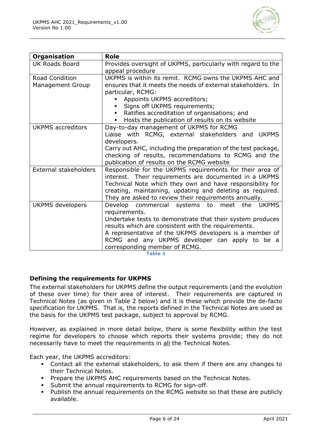

| <b>Organisation</b>          | <b>Role</b>                                                       |  |  |
|------------------------------|-------------------------------------------------------------------|--|--|
| <b>UK Roads Board</b>        | Provides oversight of UKPMS, particularly with regard to the      |  |  |
|                              | appeal procedure                                                  |  |  |
| <b>Road Condition</b>        | UKPMS is within its remit. RCMG owns the UKPMS AHC and            |  |  |
| <b>Management Group</b>      | ensures that it meets the needs of external stakeholders. In      |  |  |
|                              | particular, RCMG:                                                 |  |  |
|                              | Appoints UKPMS accreditors;                                       |  |  |
|                              | Signs off UKPMS requirements;<br>٠                                |  |  |
|                              | Ratifies accreditation of organisations; and                      |  |  |
|                              | Hosts the publication of results on its website<br>$\blacksquare$ |  |  |
| <b>UKPMS</b> accreditors     | Day-to-day management of UKPMS for RCMG                           |  |  |
|                              | Liaise with RCMG, external stakeholders and<br><b>UKPMS</b>       |  |  |
|                              | developers.                                                       |  |  |
|                              | Carry out AHC, including the preparation of the test package,     |  |  |
|                              | checking of results, recommendations to RCMG and the              |  |  |
|                              | publication of results on the RCMG website                        |  |  |
| <b>External stakeholders</b> | Responsible for the UKPMS requirements for their area of          |  |  |
|                              | interest. Their requirements are documented in a UKPMS            |  |  |
|                              | Technical Note which they own and have responsibility for         |  |  |
|                              | creating, maintaining, updating and deleting as required.         |  |  |
|                              | They are asked to review their requirements annually.             |  |  |
| <b>UKPMS</b> developers      | Develop commercial systems to meet<br>the<br><b>UKPMS</b>         |  |  |
|                              | requirements.                                                     |  |  |
|                              | Undertake tests to demonstrate that their system produces         |  |  |
|                              | results which are consistent with the requirements.               |  |  |
|                              | A representative of the UKPMS developers is a member of           |  |  |
|                              | RCMG and any UKPMS developer can apply to be a                    |  |  |
|                              | corresponding member of RCMG.                                     |  |  |

**Table 1**

#### <span id="page-5-0"></span>**Defining the requirements for UKPMS**

The external stakeholders for UKPMS define the output requirements (and the evolution of these over time) for their area of interest. Their requirements are captured in Technical Notes (as given in [Table 2](#page-6-0) below) and it is these which provide the de-facto specification for UKPMS. That is, the reports defined in the Technical Notes are used as the basis for the UKPMS test package, subject to approval by RCMG.

However, as explained in more detail below, there is some flexibility within the test regime for developers to choose which reports their systems provide; they do not necessarily have to meet the requirements in all the Technical Notes.

Each year, the UKPMS accreditors:

- Contact all the external stakeholders, to ask them if there are any changes to their Technical Notes.
- **Prepare the UKPMS AHC requirements based on the Technical Notes.**
- Submit the annual requirements to RCMG for sign-off.
- Publish the annual requirements on the RCMG website so that these are publicly available.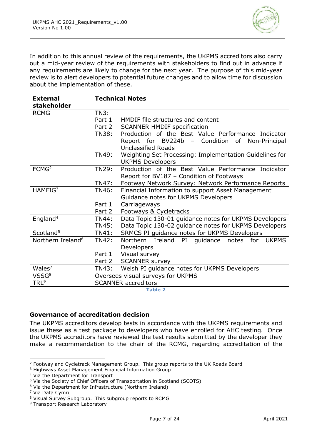

In addition to this annual review of the requirements, the UKPMS accreditors also carry out a mid-year review of the requirements with stakeholders to find out in advance if any requirements are likely to change for the next year. The purpose of this mid-year review is to alert developers to potential future changes and to allow time for discussion about the implementation of these.

| <b>External</b><br>stakeholder | <b>Technical Notes</b>            |                                                         |  |
|--------------------------------|-----------------------------------|---------------------------------------------------------|--|
| <b>RCMG</b>                    | <b>TN3:</b>                       |                                                         |  |
|                                | Part 1                            | HMDIF file structures and content                       |  |
|                                | Part 2                            | <b>SCANNER HMDIF specification</b>                      |  |
|                                | TN38:                             | Production of the Best Value Performance Indicator      |  |
|                                |                                   | Report for BV224b - Condition of<br>Non-Principal       |  |
|                                |                                   | <b>Unclassified Roads</b>                               |  |
|                                | <b>TN49:</b>                      | Weighting Set Processing: Implementation Guidelines for |  |
|                                |                                   | <b>UKPMS Developers</b>                                 |  |
| FCMG <sup>2</sup>              | TN29:                             | Production of the Best Value Performance Indicator      |  |
|                                |                                   | Report for BV187 - Condition of Footways                |  |
|                                | <b>TN47:</b>                      | Footway Network Survey: Network Performance Reports     |  |
| HAMFIG <sup>3</sup>            | TN46:                             | Financial Information to support Asset Management       |  |
|                                |                                   | Guidance notes for UKPMS Developers                     |  |
|                                | Part 1                            | Carriageways                                            |  |
|                                | Part 2                            | Footways & Cycletracks                                  |  |
| England <sup>4</sup>           | <b>TN44:</b>                      | Data Topic 130-01 guidance notes for UKPMS Developers   |  |
|                                | <b>TN45:</b>                      | Data Topic 130-02 guidance notes for UKPMS Developers   |  |
| Scotland <sup>5</sup>          | TN41:                             | SRMCS PI guidance notes for UKPMS Developers            |  |
| Northern Ireland <sup>6</sup>  | <b>TN42:</b>                      | Northern<br>Ireland PI<br>quidance notes for UKPMS      |  |
|                                |                                   | Developers                                              |  |
|                                | Part 1                            | Visual survey                                           |  |
|                                | Part 2                            | <b>SCANNER survey</b>                                   |  |
| Wales <sup>7</sup>             | TN43:                             | Welsh PI guidance notes for UKPMS Developers            |  |
| VSSG <sup>8</sup>              | Oversees visual surveys for UKPMS |                                                         |  |
| TRL <sup>9</sup>               | <b>SCANNER accreditors</b>        |                                                         |  |

**Table 2**

#### <span id="page-6-0"></span>**Governance of accreditation decision**

The UKPMS accreditors develop tests in accordance with the UKPMS requirements and issue these as a test package to developers who have enrolled for AHC testing. Once the UKPMS accreditors have reviewed the test results submitted by the developer they make a recommendation to the chair of the RCMG, regarding accreditation of the

<sup>2</sup> Footway and Cycletrack Management Group. This group reports to the UK Roads Board

<sup>3</sup> Highways Asset Management Financial Information Group

<sup>4</sup> Via the Department for Transport

<sup>5</sup> Via the Society of Chief Officers of Transportation in Scotland (SCOTS)

<sup>6</sup> Via the Department for Infrastructure (Northern Ireland)

<sup>7</sup> Via Data Cymru

<sup>8</sup> Visual Survey Subgroup. This subgroup reports to RCMG

<sup>9</sup> Transport Research Laboratory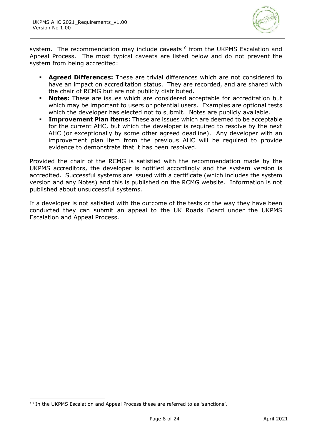

system. The recommendation may include caveats $10$  from the UKPMS Escalation and Appeal Process. The most typical caveats are listed below and do not prevent the system from being accredited:

- Agreed Differences: These are trivial differences which are not considered to have an impact on accreditation status. They are recorded, and are shared with the chair of RCMG but are not publicly distributed.
- **Notes:** These are issues which are considered acceptable for accreditation but which may be important to users or potential users. Examples are optional tests which the developer has elected not to submit. Notes are publicly available.
- **Improvement Plan items:** These are issues which are deemed to be acceptable for the current AHC, but which the developer is required to resolve by the next AHC (or exceptionally by some other agreed deadline). Any developer with an improvement plan item from the previous AHC will be required to provide evidence to demonstrate that it has been resolved.

Provided the chair of the RCMG is satisfied with the recommendation made by the UKPMS accreditors, the developer is notified accordingly and the system version is accredited. Successful systems are issued with a certificate (which includes the system version and any Notes) and this is published on the RCMG website. Information is not published about unsuccessful systems.

If a developer is not satisfied with the outcome of the tests or the way they have been conducted they can submit an appeal to the UK Roads Board under the UKPMS Escalation and Appeal Process.

<sup>&</sup>lt;sup>10</sup> In the UKPMS Escalation and Appeal Process these are referred to as 'sanctions'.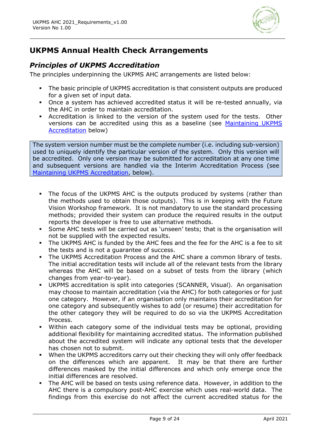

# **UKPMS Annual Health Check Arrangements**

# *Principles of UKPMS Accreditation*

The principles underpinning the UKPMS AHC arrangements are listed below:

- **•** The basic principle of UKPMS accreditation is that consistent outputs are produced for a given set of input data.
- Once a system has achieved accredited status it will be re-tested annually, via the AHC in order to maintain accreditation.
- Accreditation is linked to the version of the system used for the tests. Other versions can be accredited using this as a baseline (see [Maintaining UKPMS](#page-9-0)  [Accreditation](#page-9-0) below)

The system version number must be the complete number (i.e. including sub-version) used to uniquely identify the particular version of the system. Only this version will be accredited. Only one version may be submitted for accreditation at any one time and subsequent versions are handled via the Interim Accreditation Process (see [Maintaining UKPMS Accreditation,](#page-9-0) below).

- The focus of the UKPMS AHC is the outputs produced by systems (rather than the methods used to obtain those outputs). This is in keeping with the Future Vision Workshop framework. It is not mandatory to use the standard processing methods; provided their system can produce the required results in the output reports the developer is free to use alternative methods.
- Some AHC tests will be carried out as 'unseen' tests; that is the organisation will not be supplied with the expected results.
- The UKPMS AHC is funded by the AHC fees and the fee for the AHC is a fee to sit the tests and is not a guarantee of success.
- The UKPMS Accreditation Process and the AHC share a common library of tests. The initial accreditation tests will include all of the relevant tests from the library whereas the AHC will be based on a subset of tests from the library (which changes from year-to-year).
- UKPMS accreditation is split into categories (SCANNER, Visual). An organisation may choose to maintain accreditation (via the AHC) for both categories or for just one category. However, if an organisation only maintains their accreditation for one category and subsequently wishes to add (or resume) their accreditation for the other category they will be required to do so via the UKPMS Accreditation Process.
- Within each category some of the individual tests may be optional, providing additional flexibility for maintaining accredited status. The information published about the accredited system will indicate any optional tests that the developer has chosen not to submit.
- When the UKPMS accreditors carry out their checking they will only offer feedback on the differences which are apparent. It may be that there are further differences masked by the initial differences and which only emerge once the initial differences are resolved.
- The AHC will be based on tests using reference data. However, in addition to the AHC there is a compulsory post-AHC exercise which uses real-world data. The findings from this exercise do not affect the current accredited status for the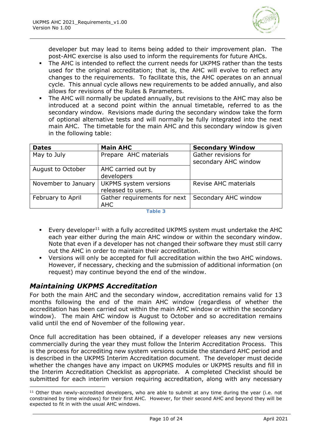

developer but may lead to items being added to their improvement plan. The post-AHC exercise is also used to inform the requirements for future AHCs.

- The AHC is intended to reflect the current needs for UKPMS rather than the tests used for the original accreditation; that is, the AHC will evolve to reflect any changes to the requirements. To facilitate this, the AHC operates on an annual cycle. This annual cycle allows new requirements to be added annually, and also allows for revisions of the Rules & Parameters.
- The AHC will normally be updated annually, but revisions to the AHC may also be introduced at a second point within the annual timetable, referred to as the secondary window. Revisions made during the secondary window take the form of optional alternative tests and will normally be fully integrated into the next main AHC. The timetable for the main AHC and this secondary window is given in the following table:

| <b>Dates</b>        | <b>Main AHC</b>                                    | <b>Secondary Window</b>                      |
|---------------------|----------------------------------------------------|----------------------------------------------|
| May to July         | Prepare AHC materials                              | Gather revisions for<br>secondary AHC window |
| August to October   | AHC carried out by<br>developers                   |                                              |
| November to January | <b>UKPMS</b> system versions<br>released to users. | Revise AHC materials                         |
| February to April   | Gather requirements for next<br><b>AHC</b>         | Secondary AHC window                         |

**Table 3**

- **Every developer**<sup>11</sup> with a fully accredited UKPMS system must undertake the AHC each year either during the main AHC window or within the secondary window. Note that even if a developer has not changed their software they must still carry out the AHC in order to maintain their accreditation.
- Versions will only be accepted for full accreditation within the two AHC windows. However, if necessary, checking and the submission of additional information (on request) may continue beyond the end of the window.

# <span id="page-9-0"></span>*Maintaining UKPMS Accreditation*

For both the main AHC and the secondary window, accreditation remains valid for 13 months following the end of the main AHC window (regardless of whether the accreditation has been carried out within the main AHC window or within the secondary window). The main AHC window is August to October and so accreditation remains valid until the end of November of the following year.

Once full accreditation has been obtained, if a developer releases any new versions commercially during the year they must follow the Interim Accreditation Process. This is the process for accrediting new system versions outside the standard AHC period and is described in the UKPMS Interim Accreditation document. The developer must decide whether the changes have any impact on UKPMS modules or UKPMS results and fill in the Interim Accreditation Checklist as appropriate. A completed Checklist should be submitted for each interim version requiring accreditation, along with any necessary

 $11$  Other than newly-accredited developers, who are able to submit at any time during the year (i.e. not constrained by time windows) for their first AHC. However, for their second AHC and beyond they will be expected to fit in with the usual AHC windows.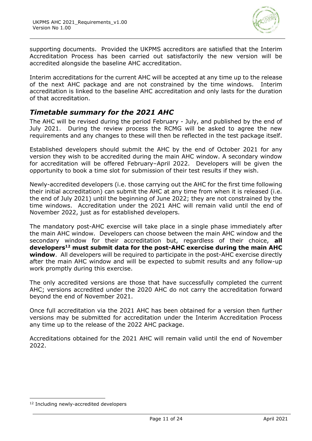

supporting documents. Provided the UKPMS accreditors are satisfied that the Interim Accreditation Process has been carried out satisfactorily the new version will be accredited alongside the baseline AHC accreditation.

Interim accreditations for the current AHC will be accepted at any time up to the release of the next AHC package and are not constrained by the time windows. Interim accreditation is linked to the baseline AHC accreditation and only lasts for the duration of that accreditation.

# *Timetable summary for the 2021 AHC*

The AHC will be revised during the period February - July, and published by the end of July 2021. During the review process the RCMG will be asked to agree the new requirements and any changes to these will then be reflected in the test package itself.

Established developers should submit the AHC by the end of October 2021 for any version they wish to be accredited during the main AHC window. A secondary window for accreditation will be offered February–April 2022. Developers will be given the opportunity to book a time slot for submission of their test results if they wish.

Newly-accredited developers (i.e. those carrying out the AHC for the first time following their initial accreditation) can submit the AHC at any time from when it is released (i.e. the end of July 2021) until the beginning of June 2022; they are not constrained by the time windows. Accreditation under the 2021 AHC will remain valid until the end of November 2022, just as for established developers.

The mandatory post-AHC exercise will take place in a single phase immediately after the main AHC window. Developers can choose between the main AHC window and the secondary window for their accreditation but, regardless of their choice, **all developers<sup>12</sup> must submit data for the post-AHC exercise during the main AHC window**. All developers will be required to participate in the post-AHC exercise directly after the main AHC window and will be expected to submit results and any follow-up work promptly during this exercise.

The only accredited versions are those that have successfully completed the current AHC; versions accredited under the 2020 AHC do not carry the accreditation forward beyond the end of November 2021.

Once full accreditation via the 2021 AHC has been obtained for a version then further versions may be submitted for accreditation under the Interim Accreditation Process any time up to the release of the 2022 AHC package.

Accreditations obtained for the 2021 AHC will remain valid until the end of November 2022.

<sup>&</sup>lt;sup>12</sup> Including newly-accredited developers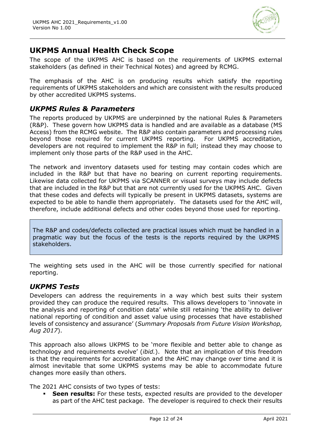

# **UKPMS Annual Health Check Scope**

The scope of the UKPMS AHC is based on the requirements of UKPMS external stakeholders (as defined in their Technical Notes) and agreed by RCMG.

The emphasis of the AHC is on producing results which satisfy the reporting requirements of UKPMS stakeholders and which are consistent with the results produced by other accredited UKPMS systems.

### *UKPMS Rules & Parameters*

The reports produced by UKPMS are underpinned by the national Rules & Parameters (R&P). These govern how UKPMS data is handled and are available as a database (MS Access) from the RCMG website. The R&P also contain parameters and processing rules beyond those required for current UKPMS reporting. For UKPMS accreditation, developers are not required to implement the R&P in full; instead they may choose to implement only those parts of the R&P used in the AHC.

The network and inventory datasets used for testing may contain codes which are included in the R&P but that have no bearing on current reporting requirements. Likewise data collected for UKPMS via SCANNER or visual surveys may include defects that are included in the R&P but that are not currently used for the UKPMS AHC. Given that these codes and defects will typically be present in UKPMS datasets, systems are expected to be able to handle them appropriately. The datasets used for the AHC will, therefore, include additional defects and other codes beyond those used for reporting.

The R&P and codes/defects collected are practical issues which must be handled in a pragmatic way but the focus of the tests is the reports required by the UKPMS stakeholders.

The weighting sets used in the AHC will be those currently specified for national reporting.

### *UKPMS Tests*

Developers can address the requirements in a way which best suits their system provided they can produce the required results. This allows developers to 'innovate in the analysis and reporting of condition data' while still retaining 'the ability to deliver national reporting of condition and asset value using processes that have established levels of consistency and assurance' (*Summary Proposals from Future Vision Workshop, Aug 2017*).

This approach also allows UKPMS to be 'more flexible and better able to change as technology and requirements evolve' (*ibid.*). Note that an implication of this freedom is that the requirements for accreditation and the AHC may change over time and it is almost inevitable that some UKPMS systems may be able to accommodate future changes more easily than others.

The 2021 AHC consists of two types of tests:

**Seen results:** For these tests, expected results are provided to the developer as part of the AHC test package. The developer is required to check their results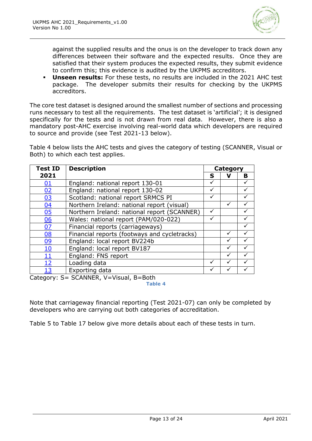

against the supplied results and the onus is on the developer to track down any differences between their software and the expected results. Once they are satisfied that their system produces the expected results, they submit evidence to confirm this; this evidence is audited by the UKPMS accreditors.

▪ **Unseen results:** For these tests, no results are included in the 2021 AHC test package. The developer submits their results for checking by the UKPMS accreditors.

The core test dataset is designed around the smallest number of sections and processing runs necessary to test all the requirements. The test dataset is 'artificial'; it is designed specifically for the tests and is not drawn from real data. However, there is also a mandatory post-AHC exercise involving real-world data which developers are required to source and provide (see Test 2021-13 below).

[Table 4](#page-12-0) below lists the AHC tests and gives the category of testing (SCANNER, Visual or Both) to which each test applies.

| <b>Test ID</b>                                      | <b>Description</b>                           |   | <b>Category</b> |              |
|-----------------------------------------------------|----------------------------------------------|---|-----------------|--------------|
| 2021                                                |                                              | S | ν               | B            |
| <u>01</u>                                           | England: national report 130-01              | ✓ |                 |              |
| 02                                                  | England: national report 130-02              | ✓ |                 |              |
| 03                                                  | Scotland: national report SRMCS PI           |   |                 |              |
| 04                                                  | Northern Ireland: national report (visual)   |   | ✓               |              |
| 05                                                  | Northern Ireland: national report (SCANNER)  |   |                 |              |
| 06                                                  | Wales: national report (PAM/020-022)         | ✓ |                 | $\checkmark$ |
| 07                                                  | Financial reports (carriageways)             |   |                 |              |
| 08                                                  | Financial reports (footways and cycletracks) |   |                 |              |
| 09                                                  | England: local report BV224b                 |   |                 |              |
| 10                                                  | England: local report BV187                  |   |                 |              |
| <u> 11</u>                                          | England: FNS report                          |   | ✓               |              |
| <u> 12</u>                                          | Loading data                                 | ✓ |                 |              |
| 13                                                  | Exporting data                               |   |                 |              |
| $\sim$ $\sim$ $\sim$<br>$\sim$ $\sim$ $\sim$ $\sim$ | CCANIIED UUU1                                |   |                 |              |

<span id="page-12-0"></span>Category: S= SCANNER, V=Visual, B=Both

**Table 4**

Note that carriageway financial reporting (Test 2021-07) can only be completed by developers who are carrying out both categories of accreditation.

[Table 5](#page-13-2) to [Table 17](#page-22-1) below give more details about each of these tests in turn.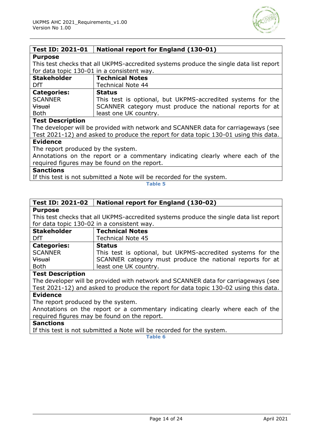

### <span id="page-13-0"></span>**Test ID: 2021-01 National report for England (130-01)**

#### **Purpose**

This test checks that all UKPMS-accredited systems produce the single data list report for data topic 130-01 in a consistent way.

| <b>Stakeholder</b> | <b>Technical Notes</b>                                      |
|--------------------|-------------------------------------------------------------|
| DfT                | <b>Technical Note 44</b>                                    |
| <b>Categories:</b> | <b>Status</b>                                               |
| <b>SCANNER</b>     | This test is optional, but UKPMS-accredited systems for the |
| <b>Visual</b>      | SCANNER category must produce the national reports for at   |
| <b>Both</b>        | least one UK country.                                       |

#### **Test Description**

The developer will be provided with network and SCANNER data for carriageways (see Test 2021-12) and asked to produce the report for data topic 130-01 using this data.

#### **Evidence**

The report produced by the system.

Annotations on the report or a commentary indicating clearly where each of the required figures may be found on the report.

#### **Sanctions**

<span id="page-13-2"></span>If this test is not submitted a Note will be recorded for the system.

**Table 5**

#### <span id="page-13-1"></span>**Test ID: 2021-02 National report for England (130-02)**

#### **Purpose**

This test checks that all UKPMS-accredited systems produce the single data list report for data topic 130-02 in a consistent way.

| <b>Stakeholder</b> | <b>Technical Notes</b>                                      |
|--------------------|-------------------------------------------------------------|
| DfT                | <b>Technical Note 45</b>                                    |
| <b>Categories:</b> | <b>Status</b>                                               |
| <b>SCANNER</b>     | This test is optional, but UKPMS-accredited systems for the |
| <b>Visual</b>      | SCANNER category must produce the national reports for at   |
| <b>Both</b>        | least one UK country.                                       |

#### **Test Description**

The developer will be provided with network and SCANNER data for carriageways (see Test 2021-12) and asked to produce the report for data topic 130-02 using this data.

### **Evidence**

The report produced by the system.

Annotations on the report or a commentary indicating clearly where each of the required figures may be found on the report.

### **Sanctions**

If this test is not submitted a Note will be recorded for the system.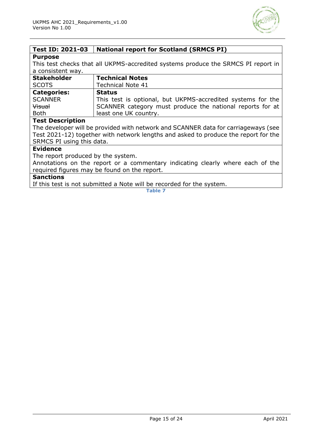

# <span id="page-14-0"></span>**Test ID: 2021-03 National report for Scotland (SRMCS PI)**

#### **Purpose**

This test checks that all UKPMS-accredited systems produce the SRMCS PI report in a consistent way.

| <b>Stakeholder</b> | <b>Technical Notes</b>                                      |
|--------------------|-------------------------------------------------------------|
| <b>SCOTS</b>       | <b>Technical Note 41</b>                                    |
| <b>Categories:</b> | <b>Status</b>                                               |
| <b>SCANNER</b>     | This test is optional, but UKPMS-accredited systems for the |
| <b>Visual</b>      | SCANNER category must produce the national reports for at   |
| <b>Both</b>        | least one UK country.                                       |

#### **Test Description**

The developer will be provided with network and SCANNER data for carriageways (see Test 2021-12) together with network lengths and asked to produce the report for the SRMCS PI using this data.

#### **Evidence**

The report produced by the system.

Annotations on the report or a commentary indicating clearly where each of the required figures may be found on the report.

#### **Sanctions**

If this test is not submitted a Note will be recorded for the system.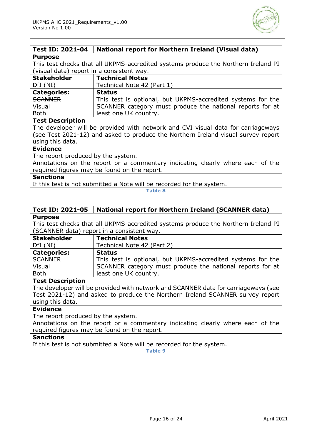

#### <span id="page-15-0"></span>**Test ID: 2021-04 National report for Northern Ireland (Visual data) Purpose**

This test checks that all UKPMS-accredited systems produce the Northern Ireland PI (visual data) report in a consistent way.

| <b>Stakeholder</b> | <b>Technical Notes</b>                                      |
|--------------------|-------------------------------------------------------------|
| DfI(NI)            | Technical Note 42 (Part 1)                                  |
| <b>Categories:</b> | <b>Status</b>                                               |
| SCANNER            | This test is optional, but UKPMS-accredited systems for the |
| Visual             | SCANNER category must produce the national reports for at   |
| <b>Both</b>        | least one UK country.                                       |

#### **Test Description**

The developer will be provided with network and CVI visual data for carriageways (see Test 2021-12) and asked to produce the Northern Ireland visual survey report using this data.

#### **Evidence**

The report produced by the system.

Annotations on the report or a commentary indicating clearly where each of the required figures may be found on the report.

#### **Sanctions**

If this test is not submitted a Note will be recorded for the system.

#### **Table 8**

#### <span id="page-15-1"></span>**Test ID: 2021-05 National report for Northern Ireland (SCANNER data) Purpose**

This test checks that all UKPMS-accredited systems produce the Northern Ireland PI (SCANNER data) report in a consistent way.

| <b>Stakeholder</b> | <b>Technical Notes</b>                                      |
|--------------------|-------------------------------------------------------------|
| DfI (NI)           | Technical Note 42 (Part 2)                                  |
| <b>Categories:</b> | <b>Status</b>                                               |
| <b>SCANNER</b>     | This test is optional, but UKPMS-accredited systems for the |
| Visual             | SCANNER category must produce the national reports for at   |
| <b>Both</b>        | least one UK country.                                       |

#### **Test Description**

The developer will be provided with network and SCANNER data for carriageways (see Test 2021-12) and asked to produce the Northern Ireland SCANNER survey report using this data.

#### **Evidence**

The report produced by the system.

Annotations on the report or a commentary indicating clearly where each of the required figures may be found on the report.

#### **Sanctions**

If this test is not submitted a Note will be recorded for the system.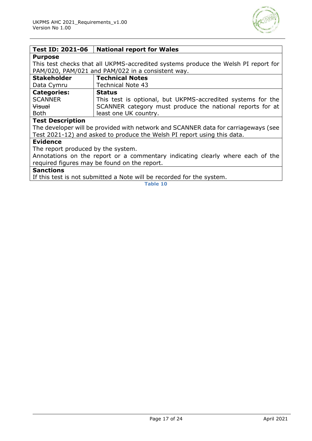

#### <span id="page-16-0"></span>**Test ID: 2021-06 National report for Wales**

#### **Purpose**

This test checks that all UKPMS-accredited systems produce the Welsh PI report for PAM/020, PAM/021 and PAM/022 in a consistent way.

| <b>Stakeholder</b> | <b>Technical Notes</b>                                      |
|--------------------|-------------------------------------------------------------|
| Data Cymru         | <b>Technical Note 43</b>                                    |
| <b>Categories:</b> | <b>Status</b>                                               |
| <b>SCANNER</b>     | This test is optional, but UKPMS-accredited systems for the |
| Visual             | SCANNER category must produce the national reports for at   |
| <b>Both</b>        | least one UK country.                                       |

#### **Test Description**

The developer will be provided with network and SCANNER data for carriageways (see Test 2021-12) and asked to produce the Welsh PI report using this data.

#### **Evidence**

The report produced by the system.

Annotations on the report or a commentary indicating clearly where each of the required figures may be found on the report.

### **Sanctions**

If this test is not submitted a Note will be recorded for the system.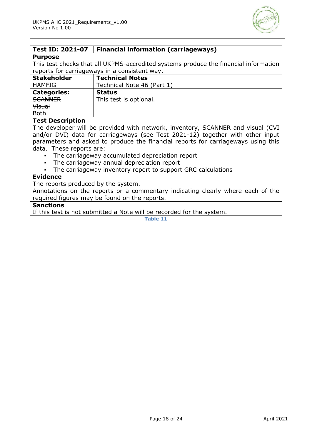

# <span id="page-17-0"></span>**Test ID: 2021-07 Financial information (carriageways) Purpose**

This test checks that all UKPMS-accredited systems produce the financial information reports for carriageways in a consistent way.

| <b>Stakeholder</b> | <b>Technical Notes</b>     |
|--------------------|----------------------------|
| <b>HAMFIG</b>      | Technical Note 46 (Part 1) |
| <b>Categories:</b> | <b>Status</b>              |
| <b>SCANNER</b>     | This test is optional.     |
| <b>Visual</b>      |                            |
| <b>Both</b>        |                            |
|                    |                            |

#### **Test Description**

The developer will be provided with network, inventory, SCANNER and visual (CVI and/or DVI) data for carriageways (see Test 2021-12) together with other input parameters and asked to produce the financial reports for carriageways using this data. These reports are:

- The carriageway accumulated depreciation report
- The carriageway annual depreciation report
- **•** The carriageway inventory report to support GRC calculations

#### **Evidence**

The reports produced by the system.

Annotations on the reports or a commentary indicating clearly where each of the required figures may be found on the reports.

#### **Sanctions**

If this test is not submitted a Note will be recorded for the system.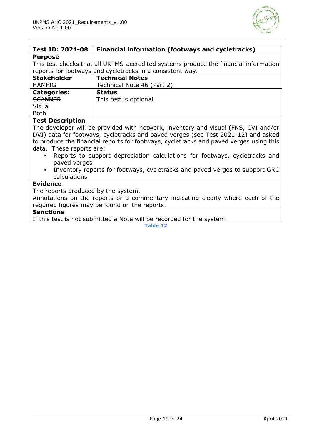

<span id="page-18-0"></span>

| <b>Test ID: 2021-08</b>                                                                       | <b>Financial information (footways and cycletracks)</b>                            |
|-----------------------------------------------------------------------------------------------|------------------------------------------------------------------------------------|
| <b>Purpose</b>                                                                                |                                                                                    |
| This test checks that all UKPMS-accredited systems produce the financial information          |                                                                                    |
| reports for footways and cycletracks in a consistent way.                                     |                                                                                    |
| <b>Stakeholder</b>                                                                            | <b>Technical Notes</b>                                                             |
| <b>HAMFIG</b>                                                                                 | Technical Note 46 (Part 2)                                                         |
| <b>Categories:</b>                                                                            | <b>Status</b>                                                                      |
| <b>SCANNER</b>                                                                                | This test is optional.                                                             |
| Visual                                                                                        |                                                                                    |
| <b>Both</b>                                                                                   |                                                                                    |
| <b>Test Description</b>                                                                       |                                                                                    |
|                                                                                               | The developer will be provided with network, inventory and visual (FNS, CVI and/or |
|                                                                                               | DVI) data for footways, cycletracks and paved verges (see Test 2021-12) and asked  |
| to produce the financial reports for footways, cycletracks and paved verges using this        |                                                                                    |
| data. These reports are:                                                                      |                                                                                    |
| Reports to support depreciation calculations for footways, cycletracks and                    |                                                                                    |
| paved verges                                                                                  |                                                                                    |
| Inventory reports for footways, cycletracks and paved verges to support GRC<br>$\blacksquare$ |                                                                                    |
| calculations                                                                                  |                                                                                    |
| <b>Evidence</b>                                                                               |                                                                                    |
| The reports produced by the system.                                                           |                                                                                    |
| Annotations on the reports or a commentary indicating clearly where each of the               |                                                                                    |
| required figures may be found on the reports.                                                 |                                                                                    |
| <b>Sanctions</b><br>TC this test is not submitted a Nets will be resembed for the symbos      |                                                                                    |
|                                                                                               |                                                                                    |

If this test is not submitted a Note will be recorded for the system.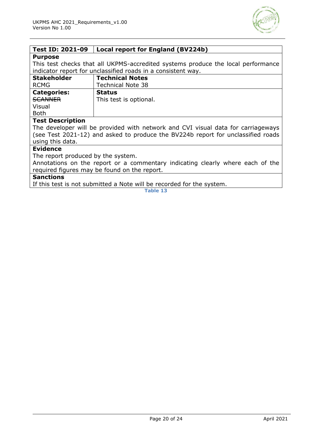

<span id="page-19-0"></span>

| <b>Test ID: 2021-09</b>                                                          | Local report for England (BV224b)                            |
|----------------------------------------------------------------------------------|--------------------------------------------------------------|
| <b>Purpose</b>                                                                   |                                                              |
| This test checks that all UKPMS-accredited systems produce the local performance |                                                              |
|                                                                                  | indicator report for unclassified roads in a consistent way. |
| <b>Stakeholder</b>                                                               | <b>Technical Notes</b>                                       |
| <b>RCMG</b>                                                                      | <b>Technical Note 38</b>                                     |
| <b>Categories:</b>                                                               | <b>Status</b>                                                |
| <b>SCANNER</b>                                                                   | This test is optional.                                       |
| Visual                                                                           |                                                              |
| <b>Both</b>                                                                      |                                                              |
| <b>Test Description</b>                                                          |                                                              |
| The developer will be provided with network and CVI visual data for carriageways |                                                              |
| (see Test 2021-12) and asked to produce the BV224b report for unclassified roads |                                                              |
| using this data.                                                                 |                                                              |
| <b>Evidence</b>                                                                  |                                                              |
| The report produced by the system.                                               |                                                              |
| Annotations on the report or a commentary indicating clearly where each of the   |                                                              |
| required figures may be found on the report.                                     |                                                              |

#### **Sanctions**

If this test is not submitted a Note will be recorded for the system.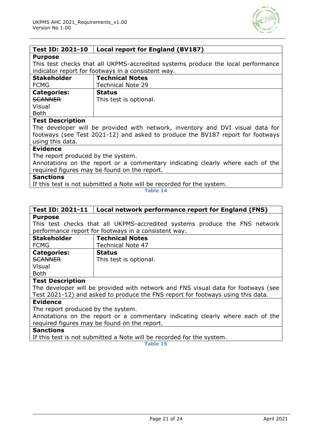

<span id="page-20-0"></span>

| <b>Test ID: 2021-10</b>                                                          | Local report for England (BV187)                   |
|----------------------------------------------------------------------------------|----------------------------------------------------|
| <b>Purpose</b>                                                                   |                                                    |
| This test checks that all UKPMS-accredited systems produce the local performance |                                                    |
|                                                                                  | indicator report for footways in a consistent way. |
| <b>Stakeholder</b>                                                               | <b>Technical Notes</b>                             |
| <b>FCMG</b>                                                                      | <b>Technical Note 29</b>                           |
| <b>Categories:</b>                                                               | <b>Status</b>                                      |
| <b>SCANNER</b>                                                                   | This test is optional.                             |
| Visual                                                                           |                                                    |
| <b>Both</b>                                                                      |                                                    |
| <b>Test Description</b>                                                          |                                                    |
| The developer will be provided with network, inventory and DVI visual data for   |                                                    |
| footways (see Test 2021-12) and asked to produce the BV187 report for footways   |                                                    |
| using this data.                                                                 |                                                    |
| <b>Evidence</b>                                                                  |                                                    |
| The report produced by the system.                                               |                                                    |
| Annotations on the report or a commentary indicating clearly where each of the   |                                                    |
| required figures may be found on the report.                                     |                                                    |

#### **Sanctions**

If this test is not submitted a Note will be recorded for the system.

**Table 14**

#### <span id="page-20-1"></span>**Test ID: 2021-11 Local network performance report for England (FNS) Purpose**

This test checks that all UKPMS-accredited systems produce the FNS network performance report for footways in a consistent way.

| <b>Stakeholder</b> | <b>Technical Notes</b>   |
|--------------------|--------------------------|
| <b>FCMG</b>        | <b>Technical Note 47</b> |
| <b>Categories:</b> | <b>Status</b>            |
| SCANNER            | This test is optional.   |
| Visual             |                          |
| <b>Both</b>        |                          |

#### **Test Description**

The developer will be provided with network and FNS visual data for footways (see Test 2021-12) and asked to produce the FNS report for footways using this data.

#### **Evidence**

The report produced by the system.

Annotations on the report or a commentary indicating clearly where each of the required figures may be found on the report.

#### **Sanctions**

If this test is not submitted a Note will be recorded for the system.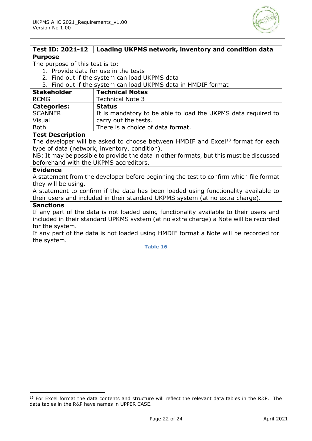

<span id="page-21-0"></span>

| <b>Test ID: 2021-12</b>                                                                 | Loading UKPMS network, inventory and condition data                                         |
|-----------------------------------------------------------------------------------------|---------------------------------------------------------------------------------------------|
| <b>Purpose</b>                                                                          |                                                                                             |
| The purpose of this test is to:                                                         |                                                                                             |
| 1. Provide data for use in the tests                                                    |                                                                                             |
| 2. Find out if the system can load UKPMS data                                           |                                                                                             |
| 3. Find out if the system can load UKPMS data in HMDIF format                           |                                                                                             |
| <b>Stakeholder</b>                                                                      | <b>Technical Notes</b>                                                                      |
| <b>RCMG</b>                                                                             | <b>Technical Note 3</b>                                                                     |
| <b>Categories:</b>                                                                      | <b>Status</b>                                                                               |
| <b>SCANNER</b>                                                                          | It is mandatory to be able to load the UKPMS data required to                               |
| Visual                                                                                  | carry out the tests.                                                                        |
| <b>Both</b>                                                                             | There is a choice of data format.                                                           |
| <b>Test Description</b>                                                                 |                                                                                             |
|                                                                                         | The developer will be asked to choose between HMDIF and Excel <sup>13</sup> format for each |
|                                                                                         | type of data (network, inventory, condition).                                               |
| NB: It may be possible to provide the data in other formats, but this must be discussed |                                                                                             |
| beforehand with the UKPMS accreditors.                                                  |                                                                                             |
| <b>Evidence</b>                                                                         |                                                                                             |
|                                                                                         | A statement from the developer before beginning the test to confirm which file format       |
| they will be using.                                                                     |                                                                                             |
| A statement to confirm if the data has been loaded using functionality available to     |                                                                                             |
| their users and included in their standard UKPMS system (at no extra charge).           |                                                                                             |
| <b>Sanctions</b>                                                                        |                                                                                             |
| If any part of the data is not loaded using functionality available to their users and  |                                                                                             |
| included in their standard UPKMS system (at no extra charge) a Note will be recorded    |                                                                                             |
| for the system.                                                                         |                                                                                             |
| If any part of the data is not loaded using HMDIF format a Note will be recorded for    |                                                                                             |
| the system.                                                                             |                                                                                             |

<sup>&</sup>lt;sup>13</sup> For Excel format the data contents and structure will reflect the relevant data tables in the R&P. The data tables in the R&P have names in UPPER CASE.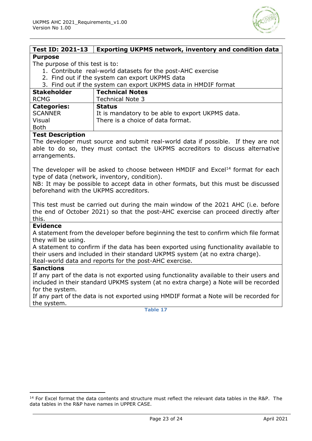

#### <span id="page-22-0"></span>**Test ID: 2021-13 Exporting UKPMS network, inventory and condition data Purpose**

#### The purpose of this test is to:

- 1. Contribute real-world datasets for the post-AHC exercise
- 2. Find out if the system can export UKPMS data
- 3. Find out if the system can export UKPMS data in HMDIF format

| <b>Stakeholder</b><br><b>RCMG</b> | <b>Technical Notes</b><br><b>Technical Note 3</b> |
|-----------------------------------|---------------------------------------------------|
| <b>Categories:</b>                | <b>Status</b>                                     |
| <b>SCANNER</b>                    | It is mandatory to be able to export UKPMS data.  |
| Visual                            | There is a choice of data format.                 |
| <b>Both</b>                       |                                                   |

#### **Test Description**

The developer must source and submit real-world data if possible. If they are not able to do so, they must contact the UKPMS accreditors to discuss alternative arrangements.

The developer will be asked to choose between HMDIF and Excel<sup>14</sup> format for each type of data (network, inventory, condition).

NB: It may be possible to accept data in other formats, but this must be discussed beforehand with the UKPMS accreditors.

This test must be carried out during the main window of the 2021 AHC (i.e. before the end of October 2021) so that the post-AHC exercise can proceed directly after this.

#### **Evidence**

A statement from the developer before beginning the test to confirm which file format they will be using.

A statement to confirm if the data has been exported using functionality available to their users and included in their standard UKPMS system (at no extra charge). Real-world data and reports for the post-AHC exercise.

#### **Sanctions**

If any part of the data is not exported using functionality available to their users and included in their standard UPKMS system (at no extra charge) a Note will be recorded for the system.

<span id="page-22-1"></span>If any part of the data is not exported using HMDIF format a Note will be recorded for the system.

<sup>&</sup>lt;sup>14</sup> For Excel format the data contents and structure must reflect the relevant data tables in the R&P. The data tables in the R&P have names in UPPER CASE.